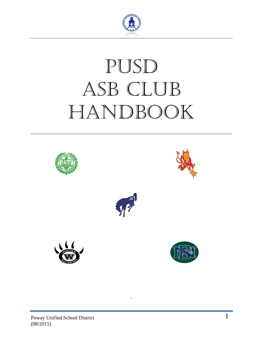

# PUSD ASB CLUB Handbook



.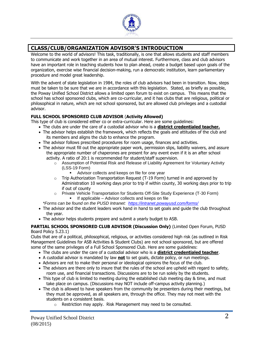

# **CLASS/CLUB/ORGANIZATION ADVISOR'S INTRODUCTION**

Welcome to the world of advisors! This task, traditionally, is one that allows students and staff members to communicate and work together in an area of mutual interest. Furthermore, class and club advisors have an important role in teaching students how to plan ahead, create a budget based upon goals of the organization, exercise wise financial decision-making, run a democratic institution, learn parliamentary procedure and model great leadership.

With the advent of state legislation in 1984, the roles of club advisors had been in transition. Now, steps must be taken to be sure that we are in accordance with this legislation. Stated, as briefly as possible, the Poway Unified School District allows a limited open forum to exist on campus. This means that the school has school sponsored clubs, which are co-curricular, and it has clubs that are religious, political or philosophical in nature, which are not school sponsored, but are allowed club privileges and a custodial advisor.

#### **FULL SCHOOL SPONSORED CLUB ADVISOR** (**Activity Allowed)**

This type of club is considered either co or extra-curricular. Here are some guidelines:

- The clubs are under the care of a custodial advisor who is a **district credentialed teacher.**
- The advisor helps establish the framework, which reflects the goals and attitudes of the club and its members and aligns the club to enhance the program.
- The advisor follows prescribed procedures for room usage, finances and activities.
- The advisor must fill out the appropriate paper work, permission slips, liability waivers, and assure the appropriate number of chaperones are present for any event even if it is an after school activity. A ratio of 20:1 is recommended for student/staff supervision.
	- o Assumption of Potential Risk and Release of Liability Agreement for Voluntary Activity (LSS-19 Form)
		- Advisor collects and keeps on file for one year
	- $\circ$  Trip Authorization Transportation Request (T-19 Form) turned in and approved by Administration 10 working days prior to trip if within county, 30 working days prior to trip if out of county
	- o Private Vehicle Transportation for Students Off-Site Study Experience (T-30 Form) If applicable – Advisor collects and keeps on file
	- *\*Forms can be found on the PUSD Intranet: <https://intranet.powayusd.com/forms/>*
- The advisor and the student leaders work hand in hand to set goals and guide the club throughout the year.
- The advisor helps students prepare and submit a yearly budget to ASB.

#### **PARTIAL SCHOOL SPONSORED CLUB ADVISOR (Discussion Only)** (Limited Open Forum, PUSD Board Policy 5.23.1)

Clubs that are of a political, philosophical, religious, or activities considered high risk (as outlined in Risk Management Guidelines for ASB Activities & Student Clubs) are not school sponsored, but are offered some of the same privileges of a Full School Sponsored Club. Here are some guidelines:

- The clubs are under the care of a custodial advisor who is a **district credentialed teacher**.
- A custodial advisor is mandated by law **not** to set goals, dictate policy, or run meetings.
- Advisors are not to make their personal or ideological opinions the focus of the club.
- The advisors are there only to insure that the rules of the school are upheld with regard to safety, room use, and financial transactions. Discussions are to be run solely by the students.
- This type of club is limited to meeting during the established club meeting day & time, and must take place on campus. (Discussions may NOT include off-campus activity planning.)
- The club is allowed to have speakers from the community be presenters during their meetings, but they must be approved, as all speakers are, through the office. They may not meet with the students on a consistent basis.
	- o Restriction may apply. Risk Management may need to be consulted.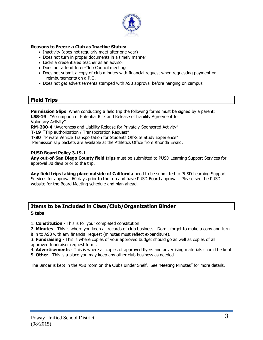

#### **Reasons to Freeze a Club as Inactive Status:**

- Inactivity (does not regularly meet after one year)
- Does not turn in proper documents in a timely manner
- Lacks a credentialed teacher as an advisor
- Does not attend Inter-Club Council meetings
- Does not submit a copy of club minutes with financial request when requesting payment or reimbursements on a P.O.
- Does not get advertisements stamped with ASB approval before hanging on campus

#### **Field Trips**

**Permission Slips** When conducting a field trip the following forms must be signed by a parent: **LSS-19** "Assumption of Potential Risk and Release of Liability Agreement for Voluntary Activity"

**RM-200-4** "Awareness and Liability Release for Privately-Sponsored Activity" **T-19** "Trip authorization / Transportation Request"

**T-30** "Private Vehicle Transportation for Students Off-Site Study Experience"

Permission slip packets are available at the Athletics Office from Rhonda Ewald.

#### **PUSD Board Policy 3.19.1**

**Any out-of-San Diego County field trips** must be submitted to PUSD Learning Support Services for approval 30 days prior to the trip.

**Any field trips taking place outside of California** need to be submitted to PUSD Learning Support Services for approval 60 days prior to the trip and have PUSD Board approval. Please see the PUSD website for the Board Meeting schedule and plan ahead.

#### **Items to be Included in Class/Club/Organization Binder**

#### **5 tabs**

1. **Constitution** - This is for your completed constitution

2. **Minutes** - This is where you keep all records of club business. Don't forget to make a copy and turn it in to ASB with any financial request (minutes must reflect expenditure).

3. **Fundraising** - This is where copies of your approved budget should go as well as copies of all approved fundraiser request forms

4. **Advertisements** - This is where all copies of approved flyers and advertising materials should be kept

5. **Other** - This is a place you may keep any other club business as needed

The Binder is kept in the ASB room on the Clubs Binder Shelf. See 'Meeting Minutes" for more details.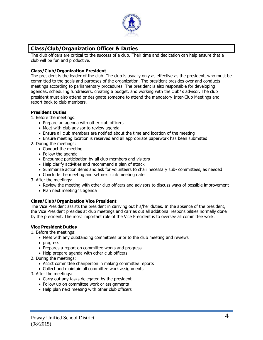

# **Class/Club/Organization Officer & Duties**

The club officers are critical to the success of a club. Their time and dedication can help ensure that a club will be fun and productive.

#### **Class/Club/Organization President**

The president is the leader of the club. The club is usually only as effective as the president, who must be committed to the goals and purposes of the organization. The president presides over and conducts meetings according to parliamentary procedures. The president is also responsible for developing agendas, scheduling fundraisers, creating a budget, and working with the club's advisor. The club president must also attend or designate someone to attend the mandatory Inter-Club Meetings and report back to club members.

#### **President Duties**

- 1. Before the meetings:
	- Prepare an agenda with other club officers
	- Meet with club advisor to review agenda
	- Ensure all club members are notified about the time and location of the meeting
	- Ensure meeting location is reserved and all appropriate paperwork has been submitted
- 2. During the meetings:
	- Conduct the meeting
	- Follow the agenda
	- Encourage participation by all club members and visitors
	- Help clarify activities and recommend a plan of attack
	- Summarize action items and ask for volunteers to chair necessary sub- committees, as needed
	- Conclude the meeting and set next club meeting date
- 3. After the meetings:
	- Review the meeting with other club officers and advisors to discuss ways of possible improvement
	- Plan next meeting's agenda

#### **Class/Club/Organization Vice President**

The Vice President assists the president in carrying out his/her duties. In the absence of the president, the Vice President presides at club meetings and carries out all additional responsibilities normally done by the president. The most important role of the Vice President is to oversee all committee work.

#### **Vice President Duties**

- 1. Before the meetings:
	- Meet with any outstanding committees prior to the club meeting and reviews
	- progress
	- Prepares a report on committee works and progress
	- Help prepare agenda with other club officers
- 2. During the meetings:
	- Assist committee chairperson in making committee reports
	- Collect and maintain all committee work assignments
- 3. After the meetings:
	- Carry out any tasks delegated by the president
	- Follow up on committee work or assignments
	- Help plan next meeting with other club officers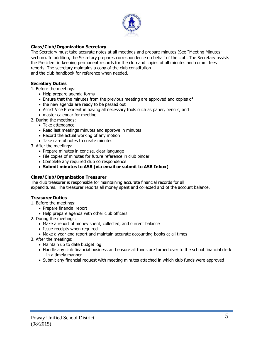

#### **Class/Club/Organization Secretary**

The Secretary must take accurate notes at all meetings and prepare minutes (See "Meeting Minutes" section). In addition, the Secretary prepares correspondence on behalf of the club. The Secretary assists the President in keeping permanent records for the club and copies of all minutes and committees reports. The secretary maintains a copy of the club constitution and the club handbook for reference when needed.

**Secretary Duties** 

- 1. Before the meetings:
	- Help prepare agenda forms
	- Ensure that the minutes from the previous meeting are approved and copies of
	- the new agenda are ready to be passed out
	- Assist Vice President in having all necessary tools such as paper, pencils, and
	- master calendar for meeting
- 2. During the meetings:
	- Take attendance
	- Read last meetings minutes and approve in minutes
	- Record the actual working of any motion
	- Take careful notes to create minutes
- 3. After the meetings:
	- Prepare minutes in concise, clear language
	- File copies of minutes for future reference in club binder
	- Complete any required club correspondence
	- **Submit minutes to ASB (via email or submit to ASB Inbox)**

#### **Class/Club/Organization Treasurer**

The club treasurer is responsible for maintaining accurate financial records for all expenditures. The treasurer reports all money spent and collected and of the account balance.

#### **Treasurer Duties**

- 1. Before the meetings:
	- Prepare financial report
	- Help prepare agenda with other club officers
- 2. During the meetings:
	- Make a report of money spent, collected, and current balance
	- Issue receipts when required
	- Make a year-end report and maintain accurate accounting books at all times
- 3. After the meetings:
	- Maintain up to date budget log
	- Handle any club financial business and ensure all funds are turned over to the school financial clerk in a timely manner
	- Submit any financial request with meeting minutes attached in which club funds were approved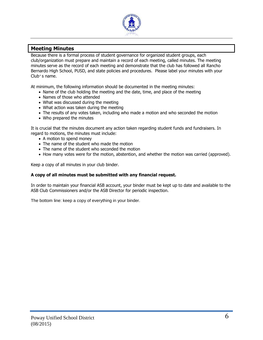

### **Meeting Minutes**

Because there is a formal process of student governance for organized student groups, each club/organization must prepare and maintain a record of each meeting, called minutes. The meeting minutes serve as the record of each meeting and demonstrate that the club has followed all Rancho Bernardo High School, PUSD, and state policies and procedures. Please label your minutes with your Club's name.

At minimum, the following information should be documented in the meeting minutes:

- Name of the club holding the meeting and the date, time, and place of the meeting
- Names of those who attended
- What was discussed during the meeting
- What action was taken during the meeting
- The results of any votes taken, including who made a motion and who seconded the motion
- Who prepared the minutes

It is crucial that the minutes document any action taken regarding student funds and fundraisers. In regard to motions, the minutes must include:

- A motion to spend money
- The name of the student who made the motion
- The name of the student who seconded the motion
- How many votes were for the motion, abstention, and whether the motion was carried (approved).

Keep a copy of all minutes in your club binder.

#### **A copy of all minutes must be submitted with any financial request.**

In order to maintain your financial ASB account, your binder must be kept up to date and available to the ASB Club Commissioners and/or the ASB Director for periodic inspection.

The bottom line: keep a copy of everything in your binder.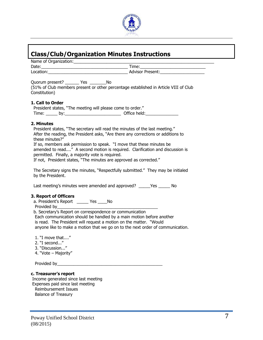

# **Class/Club/Organization Minutes Instructions**

| Name of Organization: |                         |  |
|-----------------------|-------------------------|--|
| Date:                 | Time:                   |  |
| Location:             | <b>Advisor Present:</b> |  |

Quorum present? \_\_\_\_\_\_ Yes \_\_\_\_\_\_\_No

(51% of Club members present or other percentage established in Article VIII of Club Constitution)

#### **1. Call to Order**

 President states, "The meeting will please come to order." Time: \_\_\_\_\_ by:\_\_\_\_\_\_\_\_\_\_\_\_\_\_\_\_\_\_\_\_\_\_\_\_ Office held:\_\_\_\_\_\_\_\_\_\_\_\_\_\_

#### **2. Minutes**

 President states, "The secretary will read the minutes of the last meeting." After the reading, the President asks, "Are there any corrections or additions to these minutes?"

 If so, members ask permission to speak. "I move that these minutes be amended to read...." A second motion is required. Clarification and discussion is permitted. Finally, a majority vote is required.

If not, President states, "The minutes are approved as corrected."

 The Secretary signs the minutes, "Respectfully submitted." They may be initialed by the President.

Last meeting's minutes were amended and approved? \_\_\_\_\_Yes \_\_\_\_\_\_ No

#### **3. Report of Officers**

a. President's Report \_\_\_\_\_ Yes \_\_\_\_No

Provided by

b. Secretary's Report on correspondence or communication

Each communication should be handled by a main motion before another

is read. The President will request a motion on the matter. "Would

anyone like to make a motion that we go on to the next order of communication.

- 1. "I move that...."
- 2. "I second..."
- 3. "Discussion..."
- 4. "Vote Majority"

Provided by\_\_\_\_\_\_\_\_\_\_\_\_\_\_\_\_\_\_\_\_\_\_\_\_\_\_\_\_\_\_\_\_\_\_\_\_\_\_\_\_\_\_\_\_\_

#### **c. Treasurer's report**

Income generated since last meeting Expenses paid since last meeting Reimbursement Issues Balance of Treasury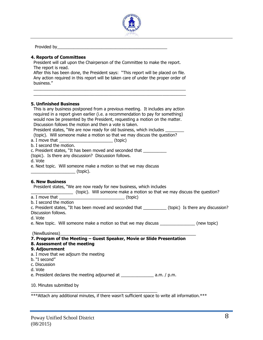

| Provided by |  |
|-------------|--|
|-------------|--|

#### **4. Reports of Committees**

 President will call upon the Chairperson of the Committee to make the report. The report is read.

 $\overline{\phantom{a}}$  , and the set of the set of the set of the set of the set of the set of the set of the set of the set of the set of the set of the set of the set of the set of the set of the set of the set of the set of the s

 After this has been done, the President says: "This report will be placed on file. Any action required in this report will be taken care of under the proper order of business."

 \_\_\_\_\_\_\_\_\_\_\_\_\_\_\_\_\_\_\_\_\_\_\_\_\_\_\_\_\_\_\_\_\_\_\_\_\_\_\_\_\_\_\_\_\_\_\_\_\_\_\_\_\_\_\_\_\_\_\_\_\_\_\_\_\_ \_\_\_\_\_\_\_\_\_\_\_\_\_\_\_\_\_\_\_\_\_\_\_\_\_\_\_\_\_\_\_\_\_\_\_\_\_\_\_\_\_\_\_\_\_\_\_\_\_\_\_\_\_\_\_\_\_\_\_\_\_\_\_\_\_

#### **5. Unfinished Business**

| ว. บทтเทเรทea <b>business</b>                           |                                                                                             |                                                                                                         |
|---------------------------------------------------------|---------------------------------------------------------------------------------------------|---------------------------------------------------------------------------------------------------------|
|                                                         | This is any business postponed from a previous meeting. It includes any action              |                                                                                                         |
|                                                         | required in a report given earlier (i.e. a recommendation to pay for something)             |                                                                                                         |
|                                                         | would now be presented by the President, requesting a motion on the matter.                 |                                                                                                         |
| Discussion follows the motion and then a vote is taken. |                                                                                             |                                                                                                         |
|                                                         | President states, "We are now ready for old business, which includes _________              |                                                                                                         |
|                                                         | (topic). Will someone make a motion so that we may discuss the question?                    |                                                                                                         |
|                                                         |                                                                                             |                                                                                                         |
| b. I second the motion.                                 |                                                                                             |                                                                                                         |
|                                                         | c. President states, "It has been moved and seconded that                                   |                                                                                                         |
|                                                         |                                                                                             |                                                                                                         |
| (topic). Is there any discussion? Discussion follows.   |                                                                                             |                                                                                                         |
| d. Vote                                                 |                                                                                             |                                                                                                         |
|                                                         | e. Next topic. Will someone make a motion so that we may discuss                            |                                                                                                         |
| (topic).                                                |                                                                                             |                                                                                                         |
|                                                         |                                                                                             |                                                                                                         |
| <b>6. New Business</b>                                  |                                                                                             |                                                                                                         |
|                                                         | President states, "We are now ready for new business, which includes                        |                                                                                                         |
|                                                         | (topic). Will someone make a motion so that we may discuss the question?                    |                                                                                                         |
|                                                         |                                                                                             |                                                                                                         |
| b. I second the motion                                  |                                                                                             |                                                                                                         |
|                                                         |                                                                                             | c. President states, "It has been moved and seconded that ____________ (topic) Is there any discussion? |
| Discussion follows.                                     |                                                                                             |                                                                                                         |
| d. Vote                                                 |                                                                                             |                                                                                                         |
|                                                         | e. New topic. Will someone make a motion so that we may discuss _______________ (new topic) |                                                                                                         |
|                                                         |                                                                                             |                                                                                                         |
| (NewBusiness)________                                   |                                                                                             |                                                                                                         |
|                                                         | 7. Program of the Meeting - Guest Speaker, Movie or Slide Presentation                      |                                                                                                         |
| 8. Assessment of the meeting                            |                                                                                             |                                                                                                         |
| 9. Adjournment                                          |                                                                                             |                                                                                                         |
| a. I move that we adjourn the meeting                   |                                                                                             |                                                                                                         |
| b. "I second"                                           |                                                                                             |                                                                                                         |
| c. Discussion                                           |                                                                                             |                                                                                                         |
| d. Vote                                                 |                                                                                             |                                                                                                         |
|                                                         | e. President declares the meeting adjourned at ___________________ a.m. / p.m.              |                                                                                                         |
|                                                         |                                                                                             |                                                                                                         |
| 10. Minutes submitted by                                |                                                                                             |                                                                                                         |

\*\*\*Attach any additional minutes, if there wasn't sufficient space to write all information.\*\*\*

\_\_\_\_\_\_\_\_\_\_\_\_\_\_\_\_\_\_\_\_\_\_\_\_\_\_\_\_\_\_\_\_\_\_\_\_\_\_\_\_\_\_\_\_\_\_\_\_\_\_\_\_\_\_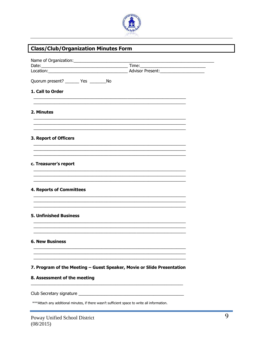

# **Class/Club/Organization Minutes Form**

| Date:                                                                                         |  |
|-----------------------------------------------------------------------------------------------|--|
|                                                                                               |  |
| Quorum present? ________ Yes ___________No                                                    |  |
| 1. Call to Order                                                                              |  |
| 2. Minutes                                                                                    |  |
| 3. Report of Officers                                                                         |  |
| c. Treasurer's report                                                                         |  |
| <b>4. Reports of Committees</b>                                                               |  |
| <b>5. Unfinished Business</b>                                                                 |  |
| <b>6. New Business</b>                                                                        |  |
| 7. Program of the Meeting - Guest Speaker, Movie or Slide Presentation                        |  |
| 8. Assessment of the meeting                                                                  |  |
|                                                                                               |  |
| *** Attach any additional minutes, if there wasn't sufficient space to write all information. |  |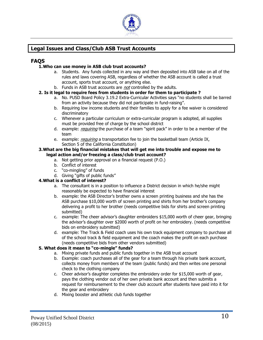

## **Legal Issues and Class/Club ASB Trust Accounts**

## **FAQS**

#### **1.Who can use money in ASB club trust accounts?**

- a. Students. Any funds collected in any way and then deposited into ASB take on all of the rules and laws covering ASB, regardless of whether the ASB account is called a trust account, sports trust account, or anything else.
- b. Funds in ASB trust accounts are *not* controlled by the adults.

#### **2. Is it legal to require fees from students in order for them to participate ?**

- a. No. PUSD Board Policy 3.19.2 Extra-Curricular Activities says "no students shall be barred from an activity because they did not participate in fund-raising".
- b. Requiring low income students and their families to apply for a fee waiver is considered discriminatory
- c. Whenever a particular curriculum or extra-curricular program is adopted, all supplies must be provided free of charge by the school district
- d. example: requiring the purchase of a team "spirit pack" in order to be a member of the team
- e. example: *requiring* a transportation fee to join the basketball team (Article IX, Section 5 of the California Constitution)

#### **3.What are the big financial mistakes that will get me into trouble and expose me to legal action and/or freezing a class/club trust account?**

- a. Not getting prior approval on a financial request (P.O.)
- b. Conflict of interest
- c. "co-mingling" of funds
- d. Giving "gifts of public funds"

#### **4.What is a conflict of interest?**

- a. The consultant is in a position to influence a District decision in which he/she might reasonably be expected to have financial interest
- b. example: the ASB Director's brother owns a screen printing business and she has the ASB purchase \$10,000 worth of screen printing and shirts from her brother's company delivering a profit to her brother (needs competitive bids for shirts and screen printing submitted)
- c. example: The cheer advisor's daughter embroiders \$15,000 worth of cheer gear, bringing the advisor's daughter over \$2000 worth of profit on her embroidery. (needs competitive bids on embroidery submitted)
- d. example: The Track & Field coach uses his own track equipment company to purchase all of the school track & field equipment and the coach makes the profit on each purchase (needs competitive bids from other vendors submitted)

#### **5. What does it mean to "co-mingle" funds?**

- a. Mixing private funds and public funds together in the ASB trust account
- b. Example: coach purchases all of the gear for a team through his private bank account, collects money from members of the team (public funds) and then writes one personal check to the clothing company
- c. Cheer advisor's daughter completes the embroidery order for \$15,000 worth of gear, pays the clothing vendor out of her own private bank account and then submits a request for reimbursement to the cheer club account after students have paid into it for the gear and embroidery
- d. Mixing booster and athletic club funds together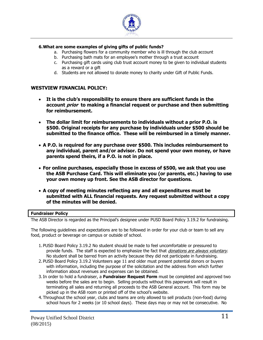

#### **6.What are some examples of giving gifts of public funds?**

- a. Purchasing flowers for a community member who is ill through the club account
- b. Purchasing bath mats for an employee's mother through a trust account
- c. Purchasing gift cards using club trust account money to be given to individual students as a reward or a gift
- d. Students are not allowed to donate money to charity under Gift of Public Funds.

#### **WESTVIEW FINANCIAL POLICY:**

- **It is the club's responsibility to ensure there are sufficient funds in the account prior to making a financial request or purchase and then submitting for reimbursement.**
- **The dollar limit for reimbursements to individuals without a prior P.O. is \$500. Original receipts for any purchase by individuals under \$500 should be submitted to the finance office. These will be reimbursed in a timely manner.**
- **A P.O. is required for any purchase over \$500. This includes reimbursement to any individual, parent and/or advisor. Do not spend your own money, or have parents spend theirs, if a P.O. is not in place.**
- **For online purchases, especially those in excess of \$500, we ask that you use the ASB Purchase Card. This will eliminate you (or parents, etc.) having to use your own money up front. See the ASB director for questions.**
- **A copy of meeting minutes reflecting any and all expenditures must be submitted with ALL financial requests. Any request submitted without a copy of the minutes will be denied.**

#### **Fundraiser Policy**

The ASB Director is regarded as the Principal's designee under PUSD Board Policy 3.19.2 for fundraising.

The following guidelines and expectations are to be followed in order for your club or team to sell any food, product or beverage on campus or outside of school.

- 1. PUSD Board Policy 3.19.2 No student should be made to feel uncomfortable or pressured to provide funds. The staff is expected to emphasize the fact that *donations are always voluntary*. No student shall be barred from an activity because they did not participate in fundraising.
- 2. PUSD Board Policy 3.19.2 Volunteers age 11 and older must present potential donors or buyers with information, including the purpose of the solicitation and the address from which further information about revenues and expenses can be obtained.
- 3.In order to hold a fundraiser, a **Fundraiser Request Form** must be completed and approved two weeks before the sales are to begin. Selling products without this paperwork will result in terminating all sales and returning all proceeds to the ASB General account. This form may be picked up in the ASB room or printed off of the school's website.
- 4. Throughout the school year, clubs and teams are only allowed to sell products (non-food) during school hours for 2 weeks (or 10 school days). These days may or may not be consecutive. No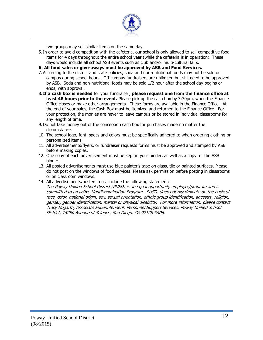

two groups may sell similar items on the same day.

- 5.In order to avoid competition with the cafeteria, our school is only allowed to sell competitive food items for 4 days throughout the entire school year (while the cafeteria is in operation). These days would include all school ASB events such as club and/or multi-cultural fairs.
- **6. All food sales or give-aways must be approved by ASB and Food Services.**
- 7. According to the district and state policies, soda and non-nutritional foods may not be sold on campus during school hours. Off campus fundraisers are unlimited but still need to be approved by ASB. Soda and non-nutritional foods may be sold 1/2 hour after the school day begins or ends, with approval.
- 8. **If a cash box is needed** for your fundraiser, **please request one from the finance office at least 48 hours prior to the event.** Please pick up the cash box by 3:30pm, when the Finance Office closes or make other arrangements. These forms are available in the Finance Office. At the end of your sales, the Cash Box must be itemized and returned to the Finance Office. For your protection, the monies are never to leave campus or be stored in individual classrooms for any length of time.
- 9.Do not take money out of the concession cash box for purchases made no matter the circumstance.
- 10. The school logo, font, specs and colors must be specifically adhered to when ordering clothing or personalized items.
- 11. All advertisements/flyers, or fundraiser requests forms must be approved and stamped by ASB before making copies.
- 12. One copy of each advertisement must be kept in your binder, as well as a copy for the ASB binder.
- 13. All posted advertisements must use blue painter's tape on glass, tile or painted surfaces. Please do not post on the windows of food services. Please ask permission before posting in classrooms or on classroom windows.
- 14. All advertisements/posters must include the following statement: The Poway Unified School District (PUSD) is an equal opportunity employer/program and is committed to an active Nondiscrimination Program. PUSD does not discriminate on the basis of race, color, national origin, sex, sexual orientation, ethnic group identification, ancestry, religion, gender, gender identification, mental or physical disability. For more information, please contact Tracy Hogarth, Associate Superintendent, Personnel Support Services, Poway Unified School District, 15250 Avenue of Science, San Diego, CA 92128-3406.